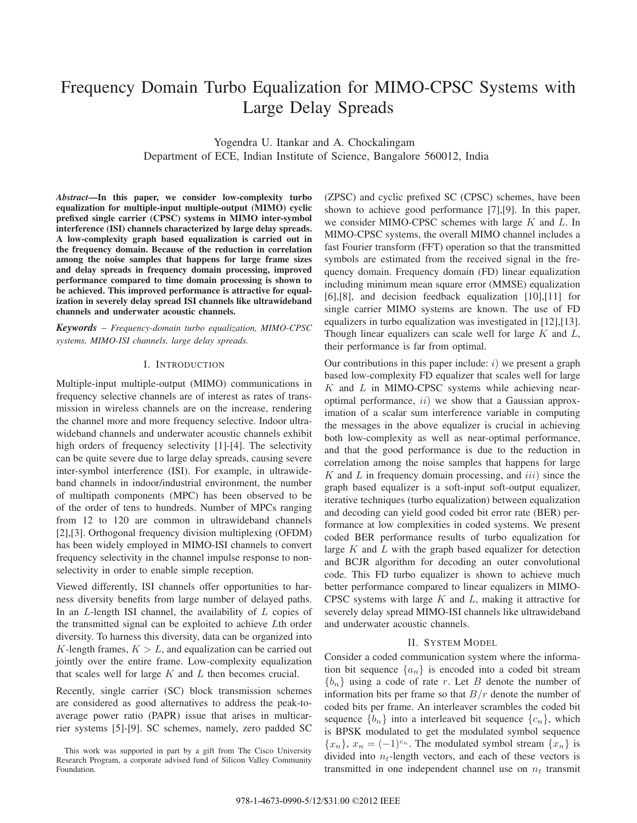# Frequency Domain Turbo Equalization for MIMO-CPSC Systems with Large Delay Spreads

Yogendra U. Itankar and A. Chockalingam Department of ECE, Indian Institute of Science, Bangalore 560012, India

*Abstract***—In this paper, we consider low-complexity turbo equalization for multiple-input multiple-output (MIMO) cyclic prefixed single carrier (CPSC) systems in MIMO inter-symbol interference (ISI) channels characterized by large delay spreads. A low-complexity graph based equalization is carried out in the frequency domain. Because of the reduction in correlation among the noise samples that happens for large frame sizes and delay spreads in frequency domain processing, improved performance compared to time domain processing is shown to be achieved. This improved performance is attractive for equalization in severely delay spread ISI channels like ultrawideband channels and underwater acoustic channels.**

*Keywords* – *Frequency-domain turbo equalization, MIMO-CPSC systems, MIMO-ISI channels, large delay spreads.*

## I. INTRODUCTION

Multiple-input multiple-output (MIMO) communications in frequency selective channels are of interest as rates of transmission in wireless channels are on the increase, rendering the channel more and more frequency selective. Indoor ultrawideband channels and underwater acoustic channels exhibit high orders of frequency selectivity [1]-[4]. The selectivity can be quite severe due to large delay spreads, causing severe inter-symbol interference (ISI). For example, in ultrawideband channels in indoor/industrial environment, the number of multipath components (MPC) has been observed to be of the order of tens to hundreds. Number of MPCs ranging from 12 to 120 are common in ultrawideband channels [2],[3]. Orthogonal frequency division multiplexing (OFDM) has been widely employed in MIMO-ISI channels to convert frequency selectivity in the channel impulse response to nonselectivity in order to enable simple reception.

Viewed differently, ISI channels offer opportunities to harness diversity benefits from large number of delayed paths. In an  $L$ -length ISI channel, the availability of  $L$  copies of the transmitted signal can be exploited to achieve Lth order diversity. To harness this diversity, data can be organized into K-length frames,  $K > L$ , and equalization can be carried out jointly over the entire frame. Low-complexity equalization that scales well for large  $K$  and  $L$  then becomes crucial.

Recently, single carrier (SC) block transmission schemes are considered as good alternatives to address the peak-toaverage power ratio (PAPR) issue that arises in multicarrier systems [5]-[9]. SC schemes, namely, zero padded SC (ZPSC) and cyclic prefixed SC (CPSC) schemes, have been shown to achieve good performance [7],[9]. In this paper, we consider MIMO-CPSC schemes with large  $K$  and  $L$ . In MIMO-CPSC systems, the overall MIMO channel includes a fast Fourier transform (FFT) operation so that the transmitted symbols are estimated from the received signal in the frequency domain. Frequency domain (FD) linear equalization including minimum mean square error (MMSE) equalization [6],[8], and decision feedback equalization [10],[11] for single carrier MIMO systems are known. The use of FD equalizers in turbo equalization was investigated in [12],[13]. Though linear equalizers can scale well for large  $K$  and  $L$ , their performance is far from optimal.

Our contributions in this paper include:  $i$ ) we present a graph based low-complexity FD equalizer that scales well for large  $K$  and  $L$  in MIMO-CPSC systems while achieving nearoptimal performance,  $ii)$  we show that a Gaussian approximation of a scalar sum interference variable in computing the messages in the above equalizer is crucial in achieving both low-complexity as well as near-optimal performance, and that the good performance is due to the reduction in correlation among the noise samples that happens for large  $K$  and  $L$  in frequency domain processing, and  $iii$ ) since the graph based equalizer is a soft-input soft-output equalizer, iterative techniques (turbo equalization) between equalization and decoding can yield good coded bit error rate (BER) performance at low complexities in coded systems. We present coded BER performance results of turbo equalization for large  $K$  and  $L$  with the graph based equalizer for detection and BCJR algorithm for decoding an outer convolutional code. This FD turbo equalizer is shown to achieve much better performance compared to linear equalizers in MIMO-CPSC systems with large  $K$  and  $L$ , making it attractive for severely delay spread MIMO-ISI channels like ultrawideband and underwater acoustic channels.

### II. SYSTEM MODEL

Consider a coded communication system where the information bit sequence  $\{a_n\}$  is encoded into a coded bit stream  ${b_n}$  using a code of rate r. Let B denote the number of information bits per frame so that  $B/r$  denote the number of coded bits per frame. An interleaver scrambles the coded bit sequence  ${b_n}$  into a interleaved bit sequence  ${c_n}$ , which is BPSK modulated to get the modulated symbol sequence  ${x_n}$ ,  ${x_n} = (-1)^{c_n}$ . The modulated symbol stream  ${x_n}$  is divided into n*t*-length vectors, and each of these vectors is transmitted in one independent channel use on  $n_t$  transmit

This work was supported in part by a gift from The Cisco University Research Program, a corporate advised fund of Silicon Valley Community Foundation.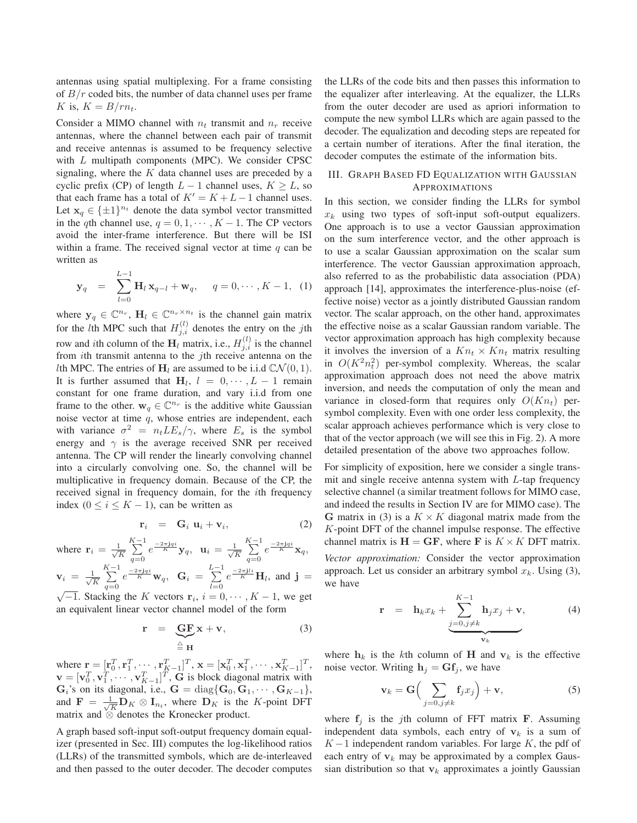antennas using spatial multiplexing. For a frame consisting of  $B/r$  coded bits, the number of data channel uses per frame K is,  $K = B/rn_t$ .

Consider a MIMO channel with  $n_t$  transmit and  $n_r$  receive antennas, where the channel between each pair of transmit and receive antennas is assumed to be frequency selective with L multipath components (MPC). We consider CPSC signaling, where the  $K$  data channel uses are preceded by a cyclic prefix (CP) of length  $L - 1$  channel uses,  $K \ge L$ , so that each frame has a total of  $K' = K + L - 1$  channel uses. Let  $\mathbf{x}_q \in {\{\pm 1\}}^{n_t}$  denote the data symbol vector transmitted in the qth channel use,  $q = 0, 1, \dots, K - 1$ . The CP vectors avoid the inter-frame interference. But there will be ISI within a frame. The received signal vector at time  $q$  can be written as

$$
\mathbf{y}_q = \sum_{l=0}^{L-1} \mathbf{H}_l \mathbf{x}_{q-l} + \mathbf{w}_q, \quad q = 0, \cdots, K-1, \quad (1)
$$

where  $y_q \in \mathbb{C}^{n_r}$ ,  $\mathbf{H}_l \in \mathbb{C}^{n_r \times n_t}$  is the channel gain matrix for the *l*th MPC such that  $H_{j,i}^{(l)}$  denotes the entry on the *j*th row and *i*th column of the  $\mathbf{H}_l$  matrix, i.e.,  $H_{j,i}^{(l)}$  is the channel from *i*th transmit antenna to the *j*th receive antenna on the *l*th MPC. The entries of  $H_l$  are assumed to be i.i.d  $CN(0, 1)$ . It is further assumed that  $H_l$ ,  $l = 0, \dots, L - 1$  remain constant for one frame duration, and vary i.i.d from one frame to the other.  $w_q \in \mathbb{C}^{n_r}$  is the additive white Gaussian noise vector at time  $q$ , whose entries are independent, each with variance  $\sigma^2 = n_t L E_s / \gamma$ , where  $E_s$  is the symbol energy and  $\gamma$  is the average received SNR per received antenna. The CP will render the linearly convolving channel into a circularly convolving one. So, the channel will be multiplicative in frequency domain. Because of the CP, the received signal in frequency domain, for the ith frequency index ( $0 \le i \le K - 1$ ), can be written as

$$
\mathbf{r}_i = \mathbf{G}_i \mathbf{u}_i + \mathbf{v}_i, \tag{2}
$$

 $\sum_{i=1}^{K-1}$ 

where  $\mathbf{r}_i = \frac{1}{\sqrt{2}}$ *K*  $\sum_{n=1}^{K-1}$  $\sum_{q=0}^{n} e^{\frac{-2\pi j q i}{K}} y_q, \ \ \mathbf{u}_i = \frac{1}{\sqrt{N}}$ *K*

where 
$$
\mathbf{r}_i = \frac{1}{\sqrt{K}} \sum_{q=0}^{\infty} e^{\frac{-2\pi \mathbf{j} q i}{K}} \mathbf{y}_q
$$
,  $\mathbf{u}_i = \frac{1}{\sqrt{K}} \sum_{q=0}^{\infty} e^{\frac{-2\pi \mathbf{j} q i}{K}} \mathbf{x}_q$ ,  
\n $\mathbf{v}_i = \frac{1}{\sqrt{K}} \sum_{q=0}^{K-1} e^{\frac{-2\pi \mathbf{j} q i}{K}} \mathbf{w}_q$ ,  $\mathbf{G}_i = \sum_{l=0}^{L-1} e^{\frac{-2\pi \mathbf{j} l i}{K}} \mathbf{H}_l$ , and  $\mathbf{j} = \sum_{l=0}^{K-1} \mathbf{g}_l$ .

 $\sqrt{-1}$ . Stacking the K vectors  $\mathbf{r}_i$ ,  $i = 0, \dots, K - 1$ , we get an equivalent linear vector channel model of the form

$$
\mathbf{r} = \underbrace{\mathbf{G}\mathbf{F}}_{\triangleq \mathbf{H}} \mathbf{x} + \mathbf{v},\tag{3}
$$

where  $\mathbf{r} = [\mathbf{r}_0^T, \mathbf{r}_1^T, \cdots, \mathbf{r}_{K-1}^T]^T$ ,  $\mathbf{x} = [\mathbf{x}_0^T, \mathbf{x}_1^T, \cdots, \mathbf{x}_{K-1}^T]^T$ ,  $\mathbf{v} = [\mathbf{v}_0^T, \mathbf{v}_1^T, \cdots, \mathbf{v}_{K-1}^T]^T$ , **G** is block diagonal matrix with **G**<sub>*i*</sub>'s on its diagonal, i.e., **G** = diag{**G**<sub>0</sub>, **G**<sub>1</sub>,  $\cdots$ , **G**<sub>*K*−1</sub>}, and  $\mathbf{F} = \frac{1}{\sqrt{K}} \mathbf{D}_K \otimes \mathbf{I}_{n_t}$ , where  $\mathbf{D}_K$  is the K-point DFT matrix and ⊗ denotes the Kronecker product.

A graph based soft-input soft-output frequency domain equalizer (presented in Sec. III) computes the log-likelihood ratios (LLRs) of the transmitted symbols, which are de-interleaved and then passed to the outer decoder. The decoder computes the LLRs of the code bits and then passes this information to the equalizer after interleaving. At the equalizer, the LLRs from the outer decoder are used as apriori information to compute the new symbol LLRs which are again passed to the decoder. The equalization and decoding steps are repeated for a certain number of iterations. After the final iteration, the decoder computes the estimate of the information bits.

## III. GRAPH BASED FD EQUALIZATION WITH GAUSSIAN APPROXIMATIONS

In this section, we consider finding the LLRs for symbol  $x_k$  using two types of soft-input soft-output equalizers. One approach is to use a vector Gaussian approximation on the sum interference vector, and the other approach is to use a scalar Gaussian approximation on the scalar sum interference. The vector Gaussian approximation approach, also referred to as the probabilistic data association (PDA) approach [14], approximates the interference-plus-noise (effective noise) vector as a jointly distributed Gaussian random vector. The scalar approach, on the other hand, approximates the effective noise as a scalar Gaussian random variable. The vector approximation approach has high complexity because it involves the inversion of a  $Kn_t \times Kn_t$  matrix resulting in  $O(K^2 n_t^2)$  per-symbol complexity. Whereas, the scalar approximation approach does not need the above matrix inversion, and needs the computation of only the mean and variance in closed-form that requires only  $O(Kn_t)$  persymbol complexity. Even with one order less complexity, the scalar approach achieves performance which is very close to that of the vector approach (we will see this in Fig. 2). A more detailed presentation of the above two approaches follow.

For simplicity of exposition, here we consider a single transmit and single receive antenna system with  $L$ -tap frequency selective channel (a similar treatment follows for MIMO case, and indeed the results in Section IV are for MIMO case). The **G** matrix in (3) is a  $K \times K$  diagonal matrix made from the K-point DFT of the channel impulse response. The effective channel matrix is  $H = GF$ , where **F** is  $K \times K$  DFT matrix.

*Vector approximation:* Consider the vector approximation approach. Let us consider an arbitrary symbol  $x_k$ . Using (3), we have

$$
\mathbf{r} = \mathbf{h}_k x_k + \underbrace{\sum_{j=0, j \neq k}^{K-1} \mathbf{h}_j x_j + \mathbf{v}}_{\mathbf{v}_k}, \tag{4}
$$

where  $h_k$  is the kth column of **H** and  $v_k$  is the effective noise vector. Writing  $h_j = Gf_j$ , we have

$$
\mathbf{v}_k = \mathbf{G} \Big( \sum_{j=0, j \neq k} \mathbf{f}_j x_j \Big) + \mathbf{v},\tag{5}
$$

where  $f_j$  is the *j*th column of FFT matrix **F**. Assuming independent data symbols, each entry of  $v_k$  is a sum of  $K-1$  independent random variables. For large K, the pdf of each entry of  $v_k$  may be approximated by a complex Gaussian distribution so that  $v_k$  approximates a jointly Gaussian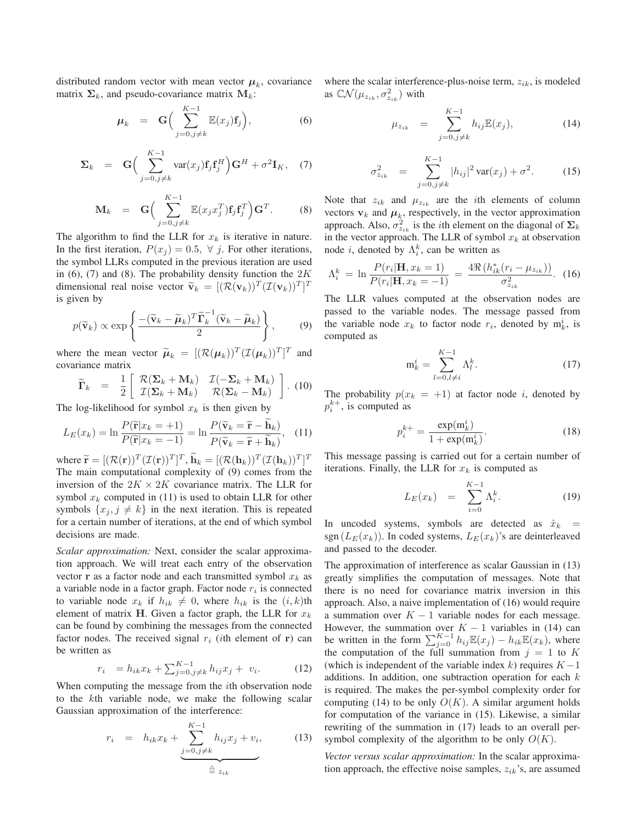distributed random vector with mean vector  $\mu_k$ , covariance matrix  $\Sigma_k$ , and pseudo-covariance matrix  $M_k$ :

$$
\mu_k = \mathbf{G} \Big( \sum_{j=0, j \neq k}^{K-1} \mathbb{E}(x_j) \mathbf{f}_j \Big), \tag{6}
$$

$$
\Sigma_k = \mathbf{G} \Big( \sum_{j=0, j \neq k}^{K-1} \text{var}(x_j) \mathbf{f}_j \mathbf{f}_j^H \Big) \mathbf{G}^H + \sigma^2 \mathbf{I}_K, \quad (7)
$$

$$
\mathbf{M}_{k} = \mathbf{G} \Big( \sum_{j=0, j \neq k}^{K-1} \mathbb{E}(x_{j} x_{j}^{T}) \mathbf{f}_{j} \mathbf{f}_{j}^{T} \Big) \mathbf{G}^{T}.
$$
 (8)

The algorithm to find the LLR for  $x_k$  is iterative in nature. In the first iteration,  $P(x_i) = 0.5$ ,  $\forall$  *j*. For other iterations, the symbol LLRs computed in the previous iteration are used in (6), (7) and (8). The probability density function the  $2K$ dimensional real noise vector  $\tilde{\mathbf{v}}_k = [(\mathcal{R}(\mathbf{v}_k))^T (\mathcal{I}(\mathbf{v}_k))^T]^T$ is given by

$$
p(\widetilde{\mathbf{v}}_k) \propto \exp\left\{ \frac{- (\widetilde{\mathbf{v}}_k - \widetilde{\boldsymbol{\mu}}_k)^T \widetilde{\boldsymbol{\Gamma}}_k^{-1} (\widetilde{\mathbf{v}}_k - \widetilde{\boldsymbol{\mu}}_k)}{2} \right\},\qquad(9)
$$

where the mean vector  $\tilde{\mu}_k = [(\mathcal{R}(\mu_k))^T (\mathcal{I}(\mu_k))^T]^T$  and covariance matrix

$$
\widetilde{\mathbf{\Gamma}}_k = \frac{1}{2} \begin{bmatrix} \mathcal{R}(\mathbf{\Sigma}_k + \mathbf{M}_k) & \mathcal{I}(-\mathbf{\Sigma}_k + \mathbf{M}_k) \\ \mathcal{I}(\mathbf{\Sigma}_k + \mathbf{M}_k) & \mathcal{R}(\mathbf{\Sigma}_k - \mathbf{M}_k) \end{bmatrix} . (10)
$$

The log-likelihood for symbol  $x_k$  is then given by

$$
L_E(x_k) = \ln \frac{P(\widetilde{\mathbf{r}}|x_k = +1)}{P(\widetilde{\mathbf{r}}|x_k = -1)} = \ln \frac{P(\widetilde{\mathbf{v}}_k = \widetilde{\mathbf{r}} - \mathbf{h}_k)}{P(\widetilde{\mathbf{v}}_k = \widetilde{\mathbf{r}} + \widetilde{\mathbf{h}}_k)}, \quad (11)
$$

where  $\widetilde{\mathbf{r}} = [(\mathcal{R}(\mathbf{r}))^T (\mathcal{I}(\mathbf{r}))^T]^T$ ,  $\mathbf{h}_k = [(\mathcal{R}(\mathbf{h}_k))^T (\mathcal{I}(\mathbf{h}_k))^T]^T$ The main computational complexity of (9) comes from the inversion of the  $2K \times 2K$  covariance matrix. The LLR for symbol  $x_k$  computed in (11) is used to obtain LLR for other symbols  $\{x_i, j \neq k\}$  in the next iteration. This is repeated for a certain number of iterations, at the end of which symbol decisions are made.

*Scalar approximation:* Next, consider the scalar approximation approach. We will treat each entry of the observation vector **r** as a factor node and each transmitted symbol  $x_k$  as a variable node in a factor graph. Factor node r*<sup>i</sup>* is connected to variable node  $x_k$  if  $h_{ik} \neq 0$ , where  $h_{ik}$  is the  $(i, k)$ th element of matrix **H**. Given a factor graph, the LLR for  $x_k$ can be found by combining the messages from the connected factor nodes. The received signal  $r_i$  (*i*th element of **r**) can be written as

$$
r_i = h_{ik}x_k + \sum_{j=0, j \neq k}^{K-1} h_{ij}x_j + v_i.
$$
 (12)

When computing the message from the *i*th observation node to the kth variable node, we make the following scalar Gaussian approximation of the interference:

$$
r_i = h_{ik}x_k + \underbrace{\sum_{j=0,j\neq k}^{K-1} h_{ij}x_j + v_i}_{\triangleq z_{ik}},
$$
 (13)

where the scalar interference-plus-noise term,  $z_{ik}$ , is modeled as  $\mathbb{C}\mathcal{N}(\mu_{z_{ik}}, \sigma^2_{z_{ik}})$  with

$$
\mu_{z_{ik}} = \sum_{j=0, j \neq k}^{K-1} h_{ij} \mathbb{E}(x_j), \tag{14}
$$

$$
\sigma_{z_{ik}}^2 = \sum_{j=0, j \neq k}^{K-1} |h_{ij}|^2 \operatorname{var}(x_j) + \sigma^2.
$$
 (15)

Note that  $z_{ik}$  and  $\mu_{z_{ik}}$  are the *i*th elements of column vectors  $\mathbf{v}_k$  and  $\boldsymbol{\mu}_k$ , respectively, in the vector approximation approach. Also,  $\sigma_{z_{ik}}^2$  is the *i*th element on the diagonal of  $\Sigma_k$ in the vector approach. The LLR of symbol  $x_k$  at observation node *i*, denoted by  $\Lambda_i^k$ , can be written as

$$
\Lambda_i^k = \ln \frac{P(r_i | \mathbf{H}, x_k = 1)}{P(r_i | \mathbf{H}, x_k = -1)} = \frac{4 \Re \left( h_{ik}^*(r_i - \mu_{z_{ik}}) \right)}{\sigma_{z_{ik}}^2}.
$$
 (16)

The LLR values computed at the observation nodes are passed to the variable nodes. The message passed from the variable node  $x_k$  to factor node  $r_i$ , denoted by  $m_k^i$ , is computed as

$$
\mathbf{m}_k^i = \sum_{l=0, l \neq i}^{K-1} \Lambda_l^k.
$$
 (17)

The probability  $p(x_k = +1)$  at factor node i, denoted by  $p_i^{k+}$ , is computed as

$$
p_i^{k+} = \frac{\exp(\mathbf{m}_k^i)}{1 + \exp(\mathbf{m}_k^i)}.
$$
 (18)

This message passing is carried out for a certain number of iterations. Finally, the LLR for  $x_k$  is computed as

$$
L_E(x_k) = \sum_{i=0}^{K-1} \Lambda_i^k.
$$
 (19)

In uncoded systems, symbols are detected as  $\hat{x}_k$  = sgn  $(L_E(x_k))$ . In coded systems,  $L_E(x_k)$ 's are deinterleaved and passed to the decoder.

The approximation of interference as scalar Gaussian in (13) greatly simplifies the computation of messages. Note that there is no need for covariance matrix inversion in this approach. Also, a naive implementation of (16) would require a summation over  $K - 1$  variable nodes for each message. However, the summation over  $K - 1$  variables in (14) can be written in the form  $\sum_{j=0}^{K-1} h_{ij} \mathbb{E}(x_j) - h_{ik} \mathbb{E}(x_k)$ , where the computation of the full summation from  $j = 1$  to K (which is independent of the variable index k) requires  $K - 1$ additions. In addition, one subtraction operation for each  $k$ is required. The makes the per-symbol complexity order for computing (14) to be only  $O(K)$ . A similar argument holds for computation of the variance in (15). Likewise, a similar rewriting of the summation in (17) leads to an overall persymbol complexity of the algorithm to be only  $O(K)$ .

*Vector versus scalar approximation:* In the scalar approximation approach, the effective noise samples, z*ik*'s, are assumed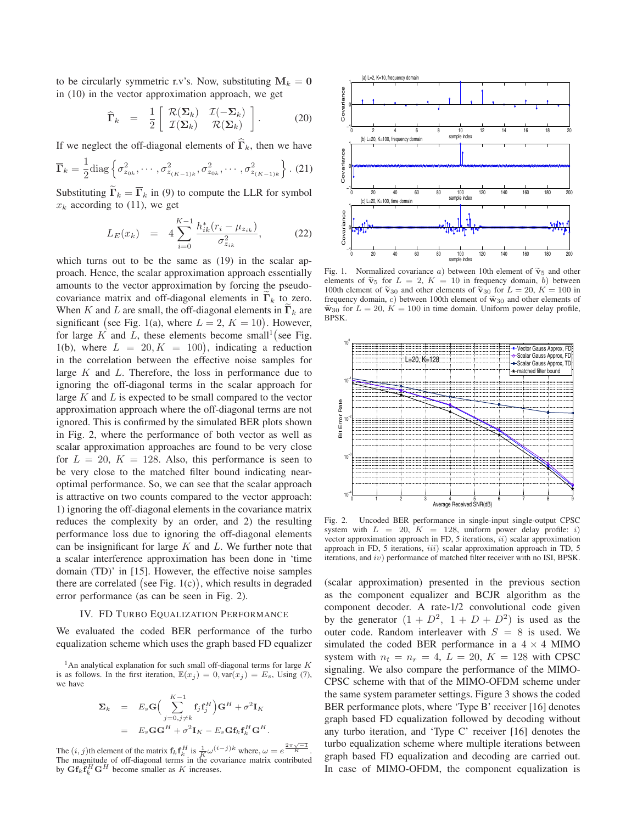to be circularly symmetric r.v's. Now, substituting  $M_k = 0$ in (10) in the vector approximation approach, we get

$$
\widehat{\Gamma}_k = \frac{1}{2} \left[ \begin{array}{cc} \mathcal{R}(\Sigma_k) & \mathcal{I}(-\Sigma_k) \\ \mathcal{I}(\Sigma_k) & \mathcal{R}(\Sigma_k) \end{array} \right]. \tag{20}
$$

If we neglect the off-diagonal elements of  $\hat{\mathbf{\Gamma}}_k$ , then we have

$$
\overline{\Gamma}_k = \frac{1}{2} \text{diag}\left\{\sigma_{z_{0k}}^2, \cdots, \sigma_{z_{(K-1)k}}^2, \sigma_{z_{0k}}^2, \cdots, \sigma_{z_{(K-1)k}}^2\right\}.
$$
 (21)

Substituting  $\Gamma_k = \Gamma_k$  in (9) to compute the LLR for symbol  $x_k$  according to (11), we get

$$
L_E(x_k) = 4 \sum_{i=0}^{K-1} \frac{h_{ik}^*(r_i - \mu_{z_{ik}})}{\sigma_{z_{ik}}^2},
$$
 (22)

which turns out to be the same as (19) in the scalar approach. Hence, the scalar approximation approach essentially amounts to the vector approximation by forcing the pseudocovariance matrix and off-diagonal elements in  $\Gamma_k$  to zero. When K and L are small, the off-diagonal elements in  $\Gamma_k$  are significant (see Fig. 1(a), where  $L = 2$ ,  $K = 10$ ). However, for large  $K$  and  $\overline{L}$ , these elements become small<sup>1</sup> (see Fig. 1(b), where  $L = 20, K = 100$ , indicating a reduction in the correlation between the effective noise samples for large  $K$  and  $L$ . Therefore, the loss in performance due to ignoring the off-diagonal terms in the scalar approach for large  $K$  and  $L$  is expected to be small compared to the vector approximation approach where the off-diagonal terms are not ignored. This is confirmed by the simulated BER plots shown in Fig. 2, where the performance of both vector as well as scalar approximation approaches are found to be very close for  $L = 20$ ,  $K = 128$ . Also, this performance is seen to be very close to the matched filter bound indicating nearoptimal performance. So, we can see that the scalar approach is attractive on two counts compared to the vector approach: 1) ignoring the off-diagonal elements in the covariance matrix reduces the complexity by an order, and 2) the resulting performance loss due to ignoring the off-diagonal elements can be insignificant for large  $K$  and  $L$ . We further note that a scalar interference approximation has been done in 'time domain (TD)' in [15]. However, the effective noise samples there are correlated (see Fig.  $1(c)$ ), which results in degraded error performance (as can be seen in Fig. 2).

#### IV. FD TURBO EQUALIZATION PERFORMANCE

We evaluated the coded BER performance of the turbo equalization scheme which uses the graph based FD equalizer

$$
\Sigma_k = E_s \mathbf{G} \Big( \sum_{j=0,j\neq k}^{K-1} \mathbf{f}_j \mathbf{f}_j^H \Big) \mathbf{G}^H + \sigma^2 \mathbf{I}_K
$$
  
=  $E_s \mathbf{G} \mathbf{G}^H + \sigma^2 \mathbf{I}_K - E_s \mathbf{G} \mathbf{f}_k \mathbf{f}_k^H \mathbf{G}^H.$ 

The  $(i, j)$ th element of the matrix  $\mathbf{f}_k \mathbf{f}_k^H$  is  $\frac{1}{K} \omega^{(i-j)k}$  where,  $\omega = e^{\frac{2\pi \sqrt{-1}}{K}}$ . The magnitude of off-diagonal terms in the covariance matrix contributed by  $\mathbf{G} \mathbf{f}_k \mathbf{f}_k^H \mathbf{G}^H$  become smaller as K increases.



Fig. 1. Normalized covariance a) between 10th element of  $\tilde{v}_5$  and other elements of  $\tilde{v}_5$  for  $I = 2$ ,  $K = 10$  in fractuary density b) between elements of  $\tilde{v}_5$  for  $L = 2$ ,  $K = 10$  in frequency domain, b) between 100th element of  $\tilde{v}_{30}$  and other elements of  $\tilde{v}_{30}$  for  $L = 20$ ,  $K = 100$  in<br>frequency domain, a) hetween 100th element of  $\tilde{v}_{30}$ , and other elements of frequency domain, c) between 100th element of  $\tilde{w}_{30}$  and other elements of  $\widetilde{w}_{30}$  for  $L = 20$ ,  $K = 100$  in time domain. Uniform power delay profile, **BPSK.** 



Fig. 2. Uncoded BER performance in single-input single-output CPSC system with  $L = 20$ ,  $K = 128$ , uniform power delay profile: i) vector approximation approach in FD, 5 iterations,  $ii)$  scalar approximation approach in FD, 5 iterations, iii) scalar approximation approach in TD, 5 iterations, and iv) performance of matched filter receiver with no ISI, BPSK.

(scalar approximation) presented in the previous section as the component equalizer and BCJR algorithm as the component decoder. A rate-1/2 convolutional code given by the generator  $(1 + D^2, 1 + D + D^2)$  is used as the outer code. Random interleaver with  $S = 8$  is used. We simulated the coded BER performance in a  $4 \times 4$  MIMO system with  $n_t = n_r = 4$ ,  $L = 20$ ,  $K = 128$  with CPSC signaling. We also compare the performance of the MIMO-CPSC scheme with that of the MIMO-OFDM scheme under the same system parameter settings. Figure 3 shows the coded BER performance plots, where 'Type B' receiver [16] denotes graph based FD equalization followed by decoding without any turbo iteration, and 'Type C' receiver [16] denotes the turbo equalization scheme where multiple iterations between graph based FD equalization and decoding are carried out. In case of MIMO-OFDM, the component equalization is

<sup>&</sup>lt;sup>1</sup>An analytical explanation for such small off-diagonal terms for large  $K$ is as follows. In the first iteration,  $\mathbb{E}(x_i) = 0$ ,  $var(x_i) = E_s$ , Using (7), we have